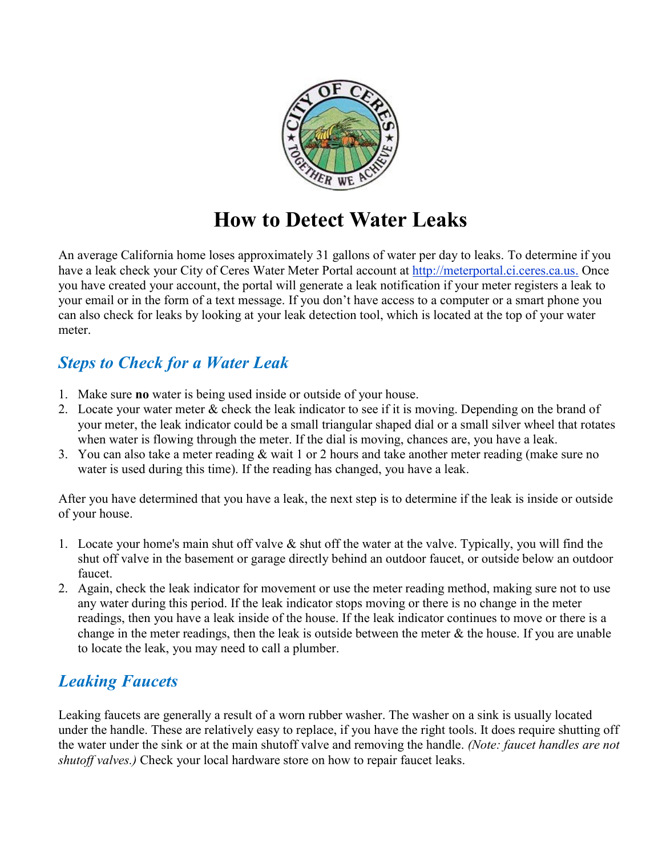

# **How to Detect Water Leaks**

An average California home loses approximately 31 gallons of water per day to leaks. To determine if you have a leak check your City of Ceres Water Meter Portal account at [http://meterportal.ci.ceres.ca.us.](http://meterportal.ci.ceres.ca.us/) Once you have created your account, the portal will generate a leak notification if your meter registers a leak to your email or in the form of a text message. If you don't have access to a computer or a smart phone you can also check for leaks by looking at your leak detection tool, which is located at the top of your water meter.

# *Steps to Check for a Water Leak*

- 1. Make sure **no** water is being used inside or outside of your house.
- 2. Locate your water meter & check the leak indicator to see if it is moving. Depending on the brand of your meter, the leak indicator could be a small triangular shaped dial or a small silver wheel that rotates when water is flowing through the meter. If the dial is moving, chances are, you have a leak.
- 3. You can also take a meter reading & wait 1 or 2 hours and take another meter reading (make sure no water is used during this time). If the reading has changed, you have a leak.

After you have determined that you have a leak, the next step is to determine if the leak is inside or outside of your house.

- 1. Locate your home's main shut off valve  $\&$  shut off the water at the valve. Typically, you will find the shut off valve in the basement or garage directly behind an outdoor faucet, or outside below an outdoor faucet.
- 2. Again, check the leak indicator for movement or use the meter reading method, making sure not to use any water during this period. If the leak indicator stops moving or there is no change in the meter readings, then you have a leak inside of the house. If the leak indicator continues to move or there is a change in the meter readings, then the leak is outside between the meter  $\&$  the house. If you are unable to locate the leak, you may need to call a plumber.

# *Leaking Faucets*

Leaking faucets are generally a result of a worn rubber washer. The washer on a sink is usually located under the handle. These are relatively easy to replace, if you have the right tools. It does require shutting off the water under the sink or at the main shutoff valve and removing the handle. *(Note: faucet handles are not shutoff valves.)* Check your local hardware store on how to repair faucet leaks.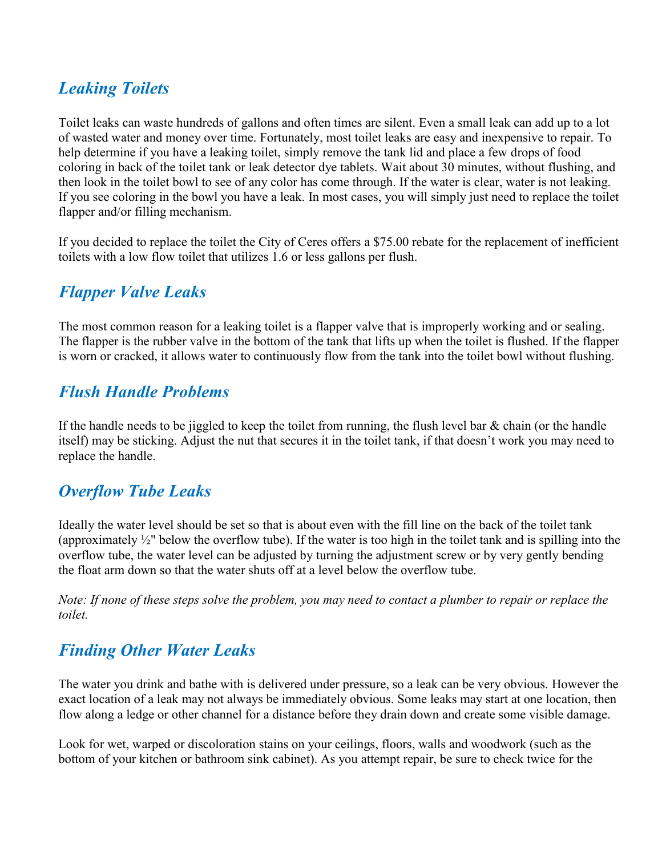# *Leaking Toilets*

Toilet leaks can waste hundreds of gallons and often times are silent. Even a small leak can add up to a lot of wasted water and money over time. Fortunately, most toilet leaks are easy and inexpensive to repair. To help determine if you have a leaking toilet, simply remove the tank lid and place a few drops of food coloring in back of the toilet tank or leak detector dye tablets. Wait about 30 minutes, without flushing, and then look in the toilet bowl to see of any color has come through. If the water is clear, water is not leaking. If you see coloring in the bowl you have a leak. In most cases, you will simply just need to replace the toilet flapper and/or filling mechanism.

If you decided to replace the toilet the City of Ceres offers a \$75.00 rebate for the replacement of inefficient toilets with a low flow toilet that utilizes 1.6 or less gallons per flush.

## *Flapper Valve Leaks*

The most common reason for a leaking toilet is a flapper valve that is improperly working and or sealing. The flapper is the rubber valve in the bottom of the tank that lifts up when the toilet is flushed. If the flapper is worn or cracked, it allows water to continuously flow from the tank into the toilet bowl without flushing.

## *Flush Handle Problems*

If the handle needs to be jiggled to keep the toilet from running, the flush level bar  $\&$  chain (or the handle itself) may be sticking. Adjust the nut that secures it in the toilet tank, if that doesn't work you may need to replace the handle.

#### *Overflow Tube Leaks*

Ideally the water level should be set so that is about even with the fill line on the back of the toilet tank (approximately ½" below the overflow tube). If the water is too high in the toilet tank and is spilling into the overflow tube, the water level can be adjusted by turning the adjustment screw or by very gently bending the float arm down so that the water shuts off at a level below the overflow tube.

*Note: If none of these steps solve the problem, you may need to contact a plumber to repair or replace the toilet.*

#### *Finding Other Water Leaks*

The water you drink and bathe with is delivered under pressure, so a leak can be very obvious. However the exact location of a leak may not always be immediately obvious. Some leaks may start at one location, then flow along a ledge or other channel for a distance before they drain down and create some visible damage.

Look for wet, warped or discoloration stains on your ceilings, floors, walls and woodwork (such as the bottom of your kitchen or bathroom sink cabinet). As you attempt repair, be sure to check twice for the